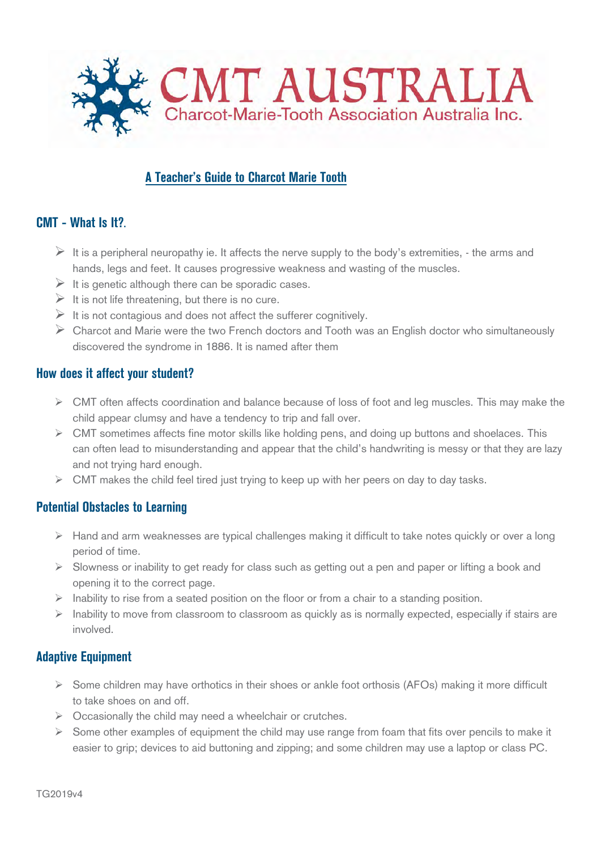

# **A Teacher's Guide to Charcot Marie Tooth**

## **CMT - What Is It?.**

- It is a peripheral neuropathy ie. It affects the nerve supply to the body's extremities,  $\cdot$  the arms and hands, legs and feet. It causes progressive weakness and wasting of the muscles.
- $\triangleright$  It is genetic although there can be sporadic cases.
- $\triangleright$  It is not life threatening, but there is no cure.
- $\triangleright$  It is not contagious and does not affect the sufferer cognitively.
- $\triangleright$  Charcot and Marie were the two French doctors and Tooth was an English doctor who simultaneously discovered the syndrome in 1886. It is named after them

#### **How does it affect your student?**

- $\triangleright$  CMT often affects coordination and balance because of loss of foot and leg muscles. This may make the child appear clumsy and have a tendency to trip and fall over.
- $\triangleright$  CMT sometimes affects fine motor skills like holding pens, and doing up buttons and shoelaces. This can often lead to misunderstanding and appear that the child's handwriting is messy or that they are lazy and not trying hard enough.
- $\triangleright$  CMT makes the child feel tired just trying to keep up with her peers on day to day tasks.

## **Potential Obstacles to Learning**

- $\triangleright$  Hand and arm weaknesses are typical challenges making it difficult to take notes quickly or over a long period of time.
- $\triangleright$  Slowness or inability to get ready for class such as getting out a pen and paper or lifting a book and opening it to the correct page.
- $\triangleright$  Inability to rise from a seated position on the floor or from a chair to a standing position.
- $\triangleright$  Inability to move from classroom to classroom as quickly as is normally expected, especially if stairs are involved.

## **Adaptive Equipment**

- $\triangleright$  Some children may have orthotics in their shoes or ankle foot orthosis (AFOs) making it more difficult to take shoes on and off.
- $\triangleright$  Occasionally the child may need a wheelchair or crutches.
- $\triangleright$  Some other examples of equipment the child may use range from foam that fits over pencils to make it easier to grip; devices to aid buttoning and zipping; and some children may use a laptop or class PC.